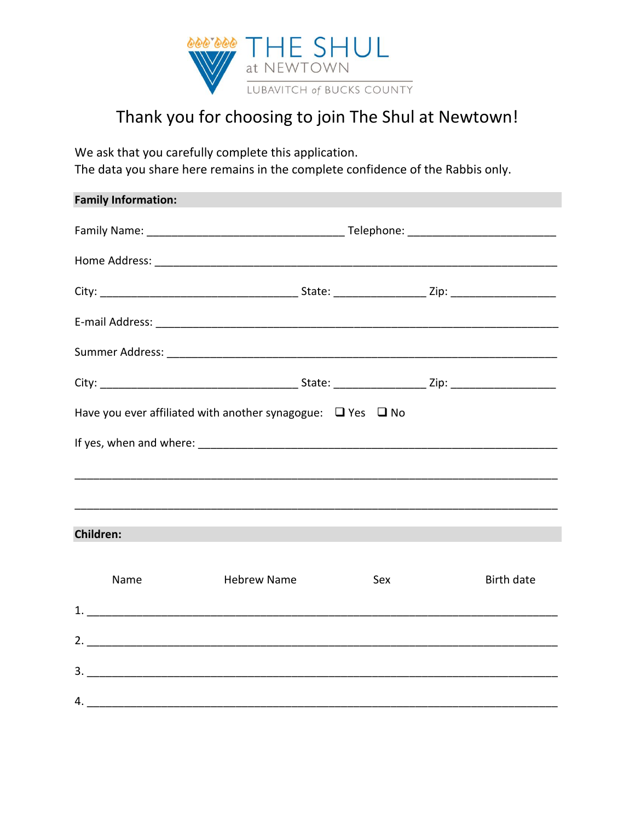

## Thank you for choosing to join The Shul at Newtown!

We ask that you carefully complete this application. The data you share here remains in the complete confidence of the Rabbis only.

| <b>Family Information:</b> |                                                                       |     |                   |
|----------------------------|-----------------------------------------------------------------------|-----|-------------------|
|                            |                                                                       |     |                   |
|                            |                                                                       |     |                   |
|                            |                                                                       |     |                   |
|                            |                                                                       |     |                   |
|                            |                                                                       |     |                   |
|                            |                                                                       |     |                   |
|                            | Have you ever affiliated with another synagogue: $\Box$ Yes $\Box$ No |     |                   |
|                            |                                                                       |     |                   |
|                            |                                                                       |     |                   |
|                            |                                                                       |     |                   |
| <b>Children:</b>           |                                                                       |     |                   |
| Name                       | <b>Hebrew Name</b>                                                    | Sex | <b>Birth date</b> |
|                            |                                                                       |     |                   |
|                            |                                                                       |     |                   |
|                            |                                                                       |     |                   |
|                            | 4.                                                                    |     |                   |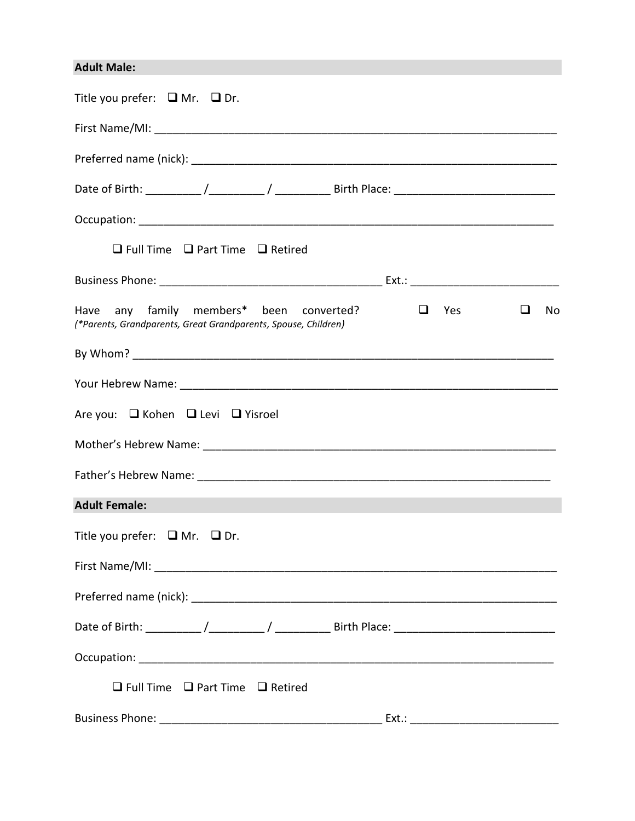## **Adult Male:**

| Title you prefer: $\Box$ Mr. $\Box$ Dr.                                                                                                  |
|------------------------------------------------------------------------------------------------------------------------------------------|
|                                                                                                                                          |
|                                                                                                                                          |
|                                                                                                                                          |
|                                                                                                                                          |
| $\Box$ Full Time $\Box$ Part Time $\Box$ Retired                                                                                         |
|                                                                                                                                          |
| Have any family members* been converted?<br>$\Box$<br>$\Box$ Yes<br>No<br>(*Parents, Grandparents, Great Grandparents, Spouse, Children) |
|                                                                                                                                          |
|                                                                                                                                          |
| Are you: $\Box$ Kohen $\Box$ Levi $\Box$ Yisroel                                                                                         |
|                                                                                                                                          |
|                                                                                                                                          |
| <b>Adult Female:</b>                                                                                                                     |
| Title you prefer: $\Box$ Mr. $\Box$ Dr.                                                                                                  |
|                                                                                                                                          |
|                                                                                                                                          |
|                                                                                                                                          |
|                                                                                                                                          |
| $\Box$ Full Time $\Box$ Part Time $\Box$ Retired                                                                                         |
|                                                                                                                                          |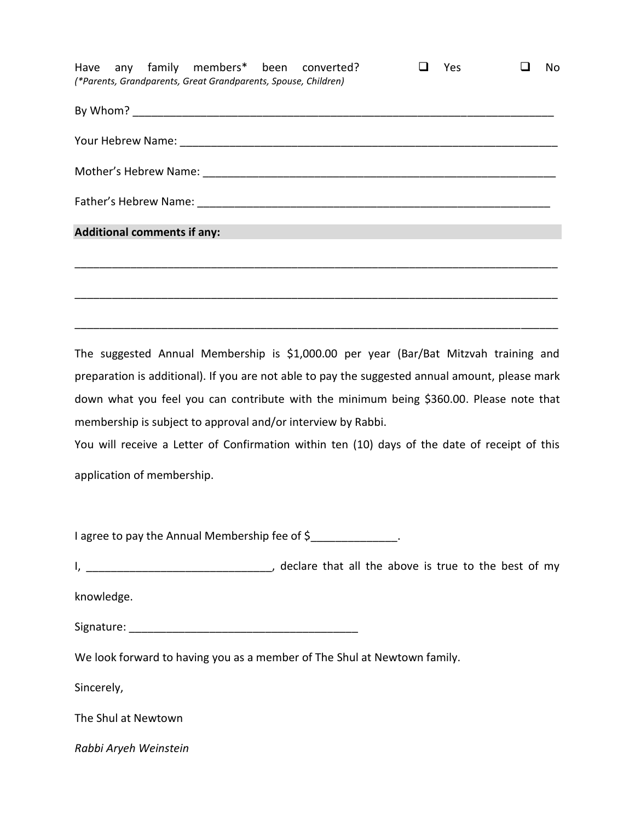| <b>Yes</b> | No. |
|------------|-----|
|            |     |
|            |     |
|            |     |
|            |     |
|            |     |
|            |     |
|            |     |
|            |     |

The suggested Annual Membership is \$1,000.00 per year (Bar/Bat Mitzvah training and preparation is additional). If you are not able to pay the suggested annual amount, please mark down what you feel you can contribute with the minimum being \$360.00. Please note that membership is subject to approval and/or interview by Rabbi.

\_\_\_\_\_\_\_\_\_\_\_\_\_\_\_\_\_\_\_\_\_\_\_\_\_\_\_\_\_\_\_\_\_\_\_\_\_\_\_\_\_\_\_\_\_\_\_\_\_\_\_\_\_\_\_\_\_\_\_\_\_\_\_\_\_\_\_\_\_\_\_\_\_\_\_\_\_\_

You will receive a Letter of Confirmation within ten (10) days of the date of receipt of this application of membership.

I agree to pay the Annual Membership fee of \$

I, \_\_\_\_\_\_\_\_\_\_\_\_\_\_\_\_\_\_\_\_\_\_\_\_\_\_\_\_\_\_, declare that all the above is true to the best of my

knowledge.

Signature: \_\_\_\_\_\_\_\_\_\_\_\_\_\_\_\_\_\_\_\_\_\_\_\_\_\_\_\_\_\_\_\_\_\_\_\_\_

We look forward to having you as a member of The Shul at Newtown family.

Sincerely,

The Shul at Newtown

*Rabbi Aryeh Weinstein*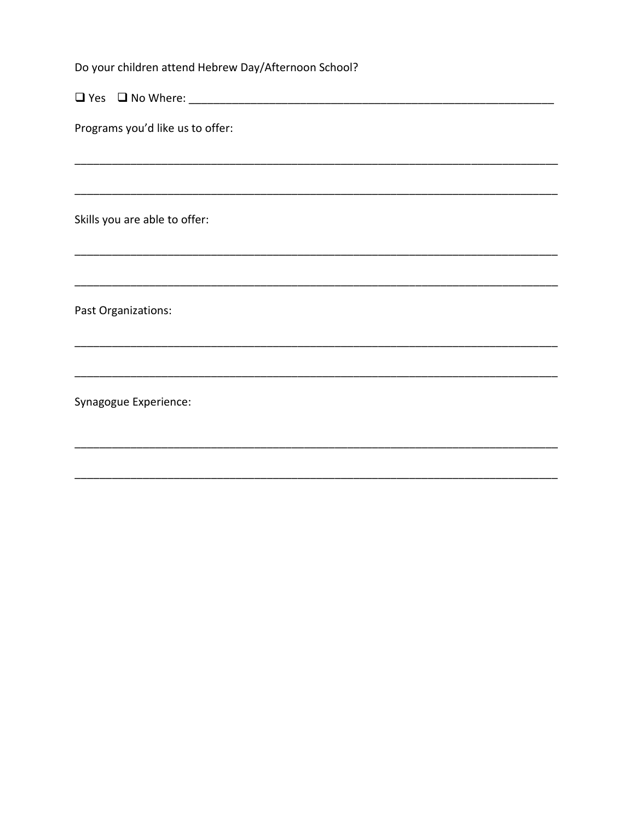| Do your children attend Hebrew Day/Afternoon School? |  |  |
|------------------------------------------------------|--|--|
|                                                      |  |  |
| Programs you'd like us to offer:                     |  |  |
|                                                      |  |  |
| Skills you are able to offer:                        |  |  |
|                                                      |  |  |
| Past Organizations:                                  |  |  |
|                                                      |  |  |
| Synagogue Experience:                                |  |  |
|                                                      |  |  |